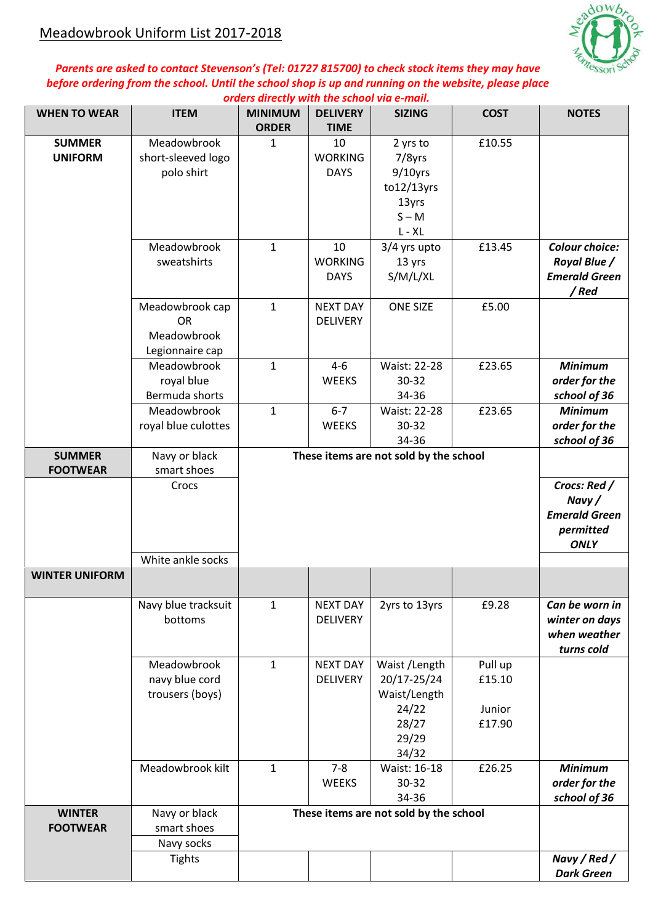

## *Parents are asked to contact Stevenson's (Tel: 01727 815700) to check stock items they may have before ordering from the school. Until the school shop is up and running on the website, please place orders directly with the school via e-mail.*

| <b>WHEN TO WEAR</b>              | <b>ITEM</b>                                                    | <u>orders an eeuw with the school vid e-main</u><br><b>MINIMUM</b><br><b>ORDER</b> | <b>DELIVERY</b><br><b>TIME</b>                                            | <b>SIZING</b>                                                                      | <b>COST</b>                           | <b>NOTES</b>                                                                 |
|----------------------------------|----------------------------------------------------------------|------------------------------------------------------------------------------------|---------------------------------------------------------------------------|------------------------------------------------------------------------------------|---------------------------------------|------------------------------------------------------------------------------|
| <b>SUMMER</b><br><b>UNIFORM</b>  | Meadowbrook<br>short-sleeved logo<br>polo shirt                | $\mathbf{1}$                                                                       | 10<br><b>WORKING</b><br><b>DAYS</b>                                       | 2 yrs to<br>7/8yrs<br>$9/10$ yrs<br>$to 12/13$ yrs<br>13yrs<br>$S - M$<br>$L - XL$ | £10.55                                |                                                                              |
|                                  | Meadowbrook<br>sweatshirts                                     | $\mathbf{1}$                                                                       | 10<br><b>WORKING</b><br><b>DAYS</b>                                       | 3/4 yrs upto<br>13 yrs<br>S/M/L/XL                                                 | £13.45                                | <b>Colour choice:</b><br><b>Royal Blue /</b><br><b>Emerald Green</b><br>/Red |
|                                  | Meadowbrook cap<br><b>OR</b><br>Meadowbrook<br>Legionnaire cap | $\mathbf{1}$                                                                       | <b>NEXT DAY</b><br><b>DELIVERY</b>                                        | <b>ONE SIZE</b>                                                                    | £5.00                                 |                                                                              |
|                                  | Meadowbrook<br>royal blue<br>Bermuda shorts                    | $\mathbf{1}$                                                                       | $4 - 6$<br><b>WEEKS</b>                                                   | Waist: 22-28<br>30-32<br>34-36                                                     | £23.65                                | <b>Minimum</b><br>order for the<br>school of 36                              |
|                                  | Meadowbrook<br>royal blue culottes                             | $\mathbf{1}$                                                                       | $6 - 7$<br><b>WEEKS</b>                                                   | Waist: 22-28<br>30-32<br>34-36                                                     | £23.65                                | <b>Minimum</b><br>order for the<br>school of 36                              |
| <b>SUMMER</b>                    | Navy or black                                                  |                                                                                    |                                                                           | These items are not sold by the school                                             |                                       |                                                                              |
| <b>FOOTWEAR</b>                  | smart shoes<br>Crocs                                           |                                                                                    | Crocs: Red /<br>Navy/<br><b>Emerald Green</b><br>permitted<br><b>ONLY</b> |                                                                                    |                                       |                                                                              |
|                                  | White ankle socks                                              |                                                                                    |                                                                           |                                                                                    |                                       |                                                                              |
| <b>WINTER UNIFORM</b>            |                                                                |                                                                                    |                                                                           |                                                                                    |                                       |                                                                              |
|                                  | Navy blue tracksuit<br>bottoms                                 | $\mathbf{1}$                                                                       | <b>NEXT DAY</b><br><b>DELIVERY</b>                                        | 2yrs to 13yrs                                                                      | £9.28                                 | Can be worn in<br>winter on days<br>when weather<br>turns cold               |
|                                  | Meadowbrook<br>navy blue cord<br>trousers (boys)               | $\mathbf{1}$                                                                       | <b>NEXT DAY</b><br><b>DELIVERY</b>                                        | Waist /Length<br>20/17-25/24<br>Waist/Length<br>24/22<br>28/27<br>29/29<br>34/32   | Pull up<br>£15.10<br>Junior<br>£17.90 |                                                                              |
|                                  | Meadowbrook kilt                                               | $\mathbf{1}$                                                                       | $7 - 8$<br><b>WEEKS</b>                                                   | Waist: 16-18<br>30-32<br>34-36                                                     | £26.25                                | <b>Minimum</b><br>order for the<br>school of 36                              |
| <b>WINTER</b><br><b>FOOTWEAR</b> | Navy or black<br>smart shoes<br>Navy socks                     | These items are not sold by the school                                             |                                                                           |                                                                                    |                                       |                                                                              |
|                                  | <b>Tights</b>                                                  |                                                                                    |                                                                           |                                                                                    |                                       | Navy / Red /<br><b>Dark Green</b>                                            |